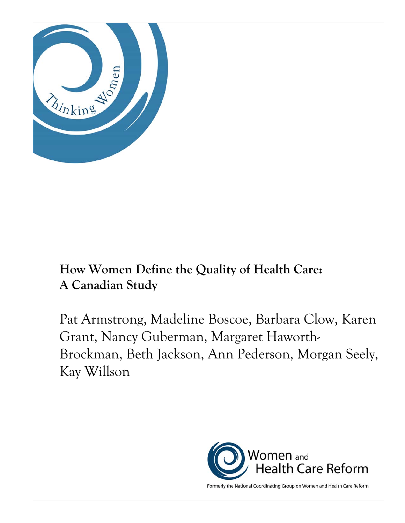

# **How Women Define the Quality of Health Care: A Canadian Study**

Pat Armstrong, Madeline Boscoe, Barbara Clow, Karen Grant, Nancy Guberman, Margaret Haworth-Brockman, Beth Jackson, Ann Pederson, Morgan Seely, Kay Willson



Formerly the National Coordinating Group on Women and Health Care Reform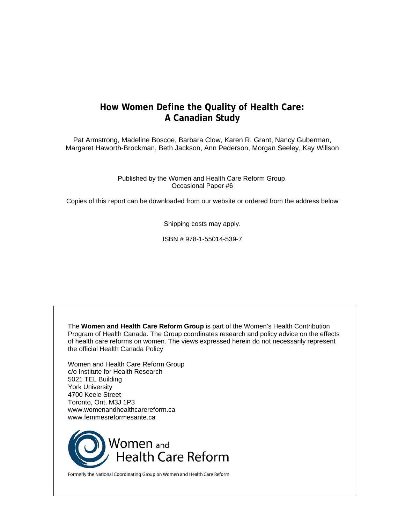# **How Women Define the Quality of Health Care: A Canadian Study**

Pat Armstrong, Madeline Boscoe, Barbara Clow, Karen R. Grant, Nancy Guberman, Margaret Haworth-Brockman, Beth Jackson, Ann Pederson, Morgan Seeley, Kay Willson

> Published by the Women and Health Care Reform Group. Occasional Paper #6

Copies of this report can be downloaded from our website or ordered from the address below

Shipping costs may apply.

ISBN # 978-1-55014-539-7

The **Women and Health Care Reform Group** is part of the Women's Health Contribution Program of Health Canada. The Group coordinates research and policy advice on the effects of health care reforms on women. The views expressed herein do not necessarily represent the official Health Canada Policy Women and Health Care Reform Group c/o Institute for Health Research 5021 TEL Building York University 4700 Keele Street Toronto, Ont, M3J 1P3 www.womenandhealthcarereform.ca www.femmesreformesante.ca



Formerly the National Coordinating Group on Women and Health Care Reform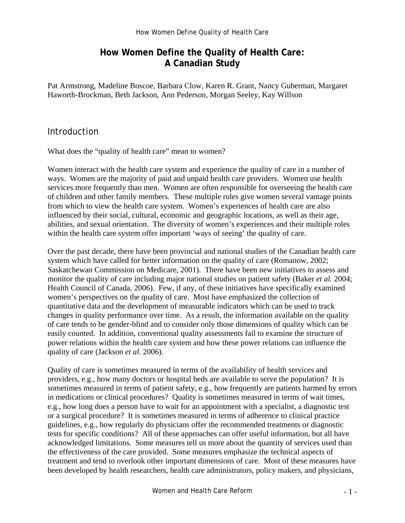# **How Women Define the Quality of Health Care: A Canadian Study**

Pat Armstrong, Madeline Boscoe, Barbara Clow, Karen R. Grant, Nancy Guberman, Margaret Haworth-Brockman, Beth Jackson, Ann Pederson, Morgan Seeley, Kay Willson

### Introduction

What does the "quality of health care" mean to women?

Women interact with the health care system and experience the quality of care in a number of ways. Women are the majority of paid and unpaid health care providers. Women use health services more frequently than men. Women are often responsible for overseeing the health care of children and other family members. These multiple roles give women several vantage points from which to view the health care system. Women's experiences of health care are also influenced by their social, cultural, economic and geographic locations, as well as their age, abilities, and sexual orientation. The diversity of women's experiences and their multiple roles within the health care system offer important 'ways of seeing' the quality of care.

Over the past decade, there have been provincial and national studies of the Canadian health care system which have called for better information on the quality of care (Romanow, 2002; Saskatchewan Commission on Medicare, 2001). There have been new initiatives to assess and monitor the quality of care including major national studies on patient safety (Baker *et al.* 2004; Health Council of Canada, 2006). Few, if any, of these initiatives have specifically examined women's perspectives on the quality of care. Most have emphasized the collection of quantitative data and the development of measurable indicators which can be used to track changes in quality performance over time. As a result, the information available on the quality of care tends to be gender-blind and to consider only those dimensions of quality which can be easily counted. In addition, conventional quality assessments fail to examine the structure of power relations within the health care system and how these power relations can influence the quality of care (Jackson *et al*. 2006).

Quality of care is sometimes measured in terms of the availability of health services and providers, e.g., how many doctors or hospital beds are available to serve the population? It is sometimes measured in terms of patient safety, e.g., how frequently are patients harmed by errors in medications or clinical procedures? Quality is sometimes measured in terms of wait times, e.g., how long does a person have to wait for an appointment with a specialist, a diagnostic test or a surgical procedure? It is sometimes measured in terms of adherence to clinical practice guidelines, e.g., how regularly do physicians offer the recommended treatments or diagnostic tests for specific conditions? All of these approaches can offer useful information, but all have acknowledged limitations. Some measures tell us more about the quantity of services used than the effectiveness of the care provided. Some measures emphasize the technical aspects of treatment and tend to overlook other important dimensions of care. Most of these measures have been developed by health researchers, health care administrators, policy makers, and physicians,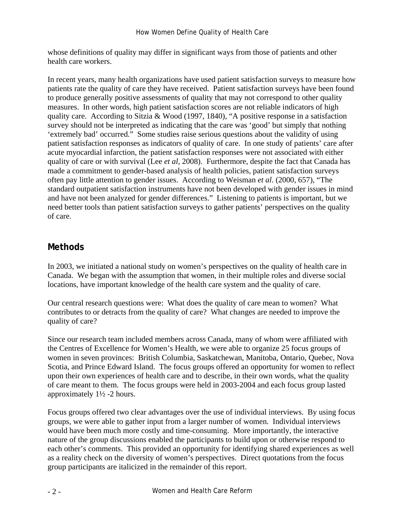whose definitions of quality may differ in significant ways from those of patients and other health care workers.

In recent years, many health organizations have used patient satisfaction surveys to measure how patients rate the quality of care they have received. Patient satisfaction surveys have been found to produce generally positive assessments of quality that may not correspond to other quality measures. In other words, high patient satisfaction scores are not reliable indicators of high quality care. According to Sitzia & Wood (1997, 1840), "A positive response in a satisfaction survey should not be interpreted as indicating that the care was 'good' but simply that nothing 'extremely bad' occurred." Some studies raise serious questions about the validity of using patient satisfaction responses as indicators of quality of care. In one study of patients' care after acute myocardial infarction, the patient satisfaction responses were not associated with either quality of care or with survival (Lee *et al*, 2008). Furthermore, despite the fact that Canada has made a commitment to gender-based analysis of health policies, patient satisfaction surveys often pay little attention to gender issues. According to Weisman *et al*. (2000, 657), "The standard outpatient satisfaction instruments have not been developed with gender issues in mind and have not been analyzed for gender differences." Listening to patients is important, but we need better tools than patient satisfaction surveys to gather patients' perspectives on the quality of care.

# **Methods**

In 2003, we initiated a national study on women's perspectives on the quality of health care in Canada. We began with the assumption that women, in their multiple roles and diverse social locations, have important knowledge of the health care system and the quality of care.

Our central research questions were: What does the quality of care mean to women? What contributes to or detracts from the quality of care? What changes are needed to improve the quality of care?

Since our research team included members across Canada, many of whom were affiliated with the Centres of Excellence for Women's Health, we were able to organize 25 focus groups of women in seven provinces: British Columbia, Saskatchewan, Manitoba, Ontario, Quebec, Nova Scotia, and Prince Edward Island. The focus groups offered an opportunity for women to reflect upon their own experiences of health care and to describe, in their own words, what the quality of care meant to them. The focus groups were held in 2003-2004 and each focus group lasted approximately 1½ -2 hours.

Focus groups offered two clear advantages over the use of individual interviews. By using focus groups, we were able to gather input from a larger number of women. Individual interviews would have been much more costly and time-consuming. More importantly, the interactive nature of the group discussions enabled the participants to build upon or otherwise respond to each other's comments. This provided an opportunity for identifying shared experiences as well as a reality check on the diversity of women's perspectives. Direct quotations from the focus group participants are italicized in the remainder of this report.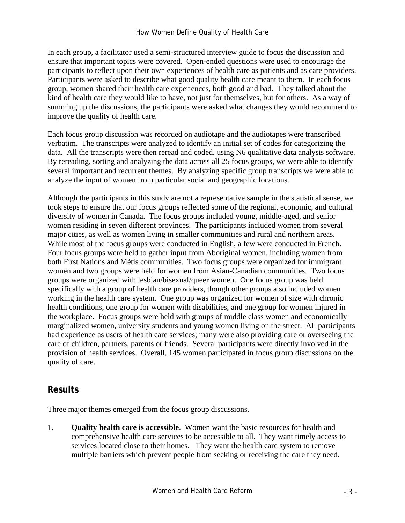In each group, a facilitator used a semi-structured interview guide to focus the discussion and ensure that important topics were covered. Open-ended questions were used to encourage the participants to reflect upon their own experiences of health care as patients and as care providers. Participants were asked to describe what good quality health care meant to them. In each focus group, women shared their health care experiences, both good and bad. They talked about the kind of health care they would like to have, not just for themselves, but for others. As a way of summing up the discussions, the participants were asked what changes they would recommend to improve the quality of health care.

Each focus group discussion was recorded on audiotape and the audiotapes were transcribed verbatim. The transcripts were analyzed to identify an initial set of codes for categorizing the data. All the transcripts were then reread and coded, using N6 qualitative data analysis software. By rereading, sorting and analyzing the data across all 25 focus groups, we were able to identify several important and recurrent themes. By analyzing specific group transcripts we were able to analyze the input of women from particular social and geographic locations.

Although the participants in this study are not a representative sample in the statistical sense, we took steps to ensure that our focus groups reflected some of the regional, economic, and cultural diversity of women in Canada. The focus groups included young, middle-aged, and senior women residing in seven different provinces. The participants included women from several major cities, as well as women living in smaller communities and rural and northern areas. While most of the focus groups were conducted in English, a few were conducted in French. Four focus groups were held to gather input from Aboriginal women, including women from both First Nations and Métis communities. Two focus groups were organized for immigrant women and two groups were held for women from Asian-Canadian communities. Two focus groups were organized with lesbian/bisexual/queer women. One focus group was held specifically with a group of health care providers, though other groups also included women working in the health care system. One group was organized for women of size with chronic health conditions, one group for women with disabilities, and one group for women injured in the workplace. Focus groups were held with groups of middle class women and economically marginalized women, university students and young women living on the street. All participants had experience as users of health care services; many were also providing care or overseeing the care of children, partners, parents or friends. Several participants were directly involved in the provision of health services. Overall, 145 women participated in focus group discussions on the quality of care.

# **Results**

Three major themes emerged from the focus group discussions.

1. **Quality health care is accessible**. Women want the basic resources for health and comprehensive health care services to be accessible to all. They want timely access to services located close to their homes. They want the health care system to remove multiple barriers which prevent people from seeking or receiving the care they need.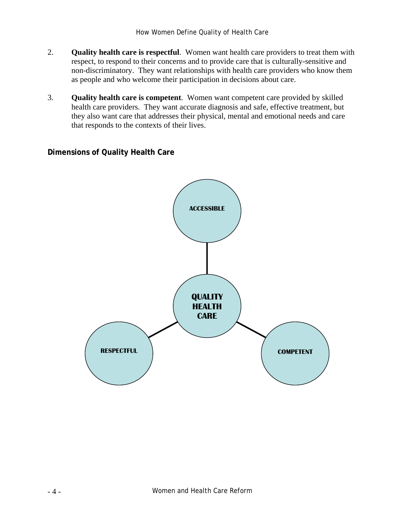- 2. **Quality health care is respectful**. Women want health care providers to treat them with respect, to respond to their concerns and to provide care that is culturally-sensitive and non-discriminatory. They want relationships with health care providers who know them as people and who welcome their participation in decisions about care.
- 3. **Quality health care is competent**. Women want competent care provided by skilled health care providers. They want accurate diagnosis and safe, effective treatment, but they also want care that addresses their physical, mental and emotional needs and care that responds to the contexts of their lives.

## **Dimensions of Quality Health Care**

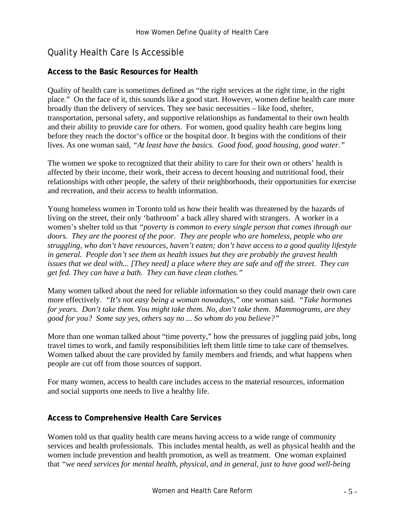# Quality Health Care Is Accessible

## **Access to the Basic Resources for Health**

Quality of health care is sometimes defined as "the right services at the right time, in the right place." On the face of it, this sounds like a good start. However, women define health care more broadly than the delivery of services. They see basic necessities – like food, shelter, transportation, personal safety, and supportive relationships as fundamental to their own health and their ability to provide care for others. For women, good quality health care begins long before they reach the doctor's office or the hospital door. It begins with the conditions of their lives. As one woman said*, "At least have the basics. Good food, good housing, good water."*

The women we spoke to recognized that their ability to care for their own or others' health is affected by their income, their work, their access to decent housing and nutritional food, their relationships with other people, the safety of their neighborhoods, their opportunities for exercise and recreation, and their access to health information.

Young homeless women in Toronto told us how their health was threatened by the hazards of living on the street, their only 'bathroom' a back alley shared with strangers. A worker in a women's shelter told us that *"poverty is common to every single person that comes through our doors. They are the poorest of the poor. They are people who are homeless, people who are struggling, who don't have resources, haven't eaten; don't have access to a good quality lifestyle in general. People don't see them as health issues but they are probably the gravest health issues that we deal with... [They need] a place where they are safe and off the street. They can get fed. They can have a bath. They can have clean clothes."* 

Many women talked about the need for reliable information so they could manage their own care more effectively. *"It's not easy being a woman nowadays,"* one woman said. *"Take hormones for years. Don't take them. You might take them. No, don't take them. Mammograms, are they good for you? Some say yes, others say no ... So whom do you believe?"* 

More than one woman talked about "time poverty," how the pressures of juggling paid jobs, long travel times to work, and family responsibilities left them little time to take care of themselves. Women talked about the care provided by family members and friends, and what happens when people are cut off from those sources of support.

For many women, access to health care includes access to the material resources, information and social supports one needs to live a healthy life.

#### **Access to Comprehensive Health Care Services**

Women told us that quality health care means having access to a wide range of community services and health professionals. This includes mental health, as well as physical health and the women include prevention and health promotion, as well as treatment. One woman explained that *"we need services for mental health, physical, and in general, just to have good well-being*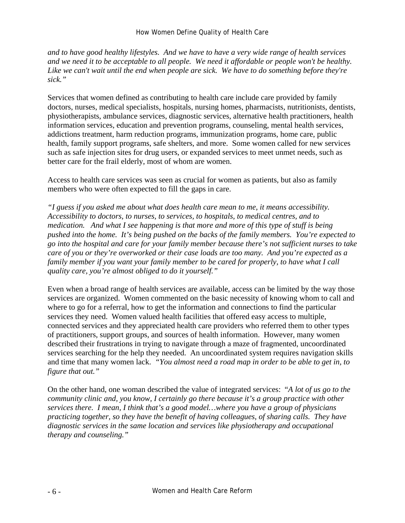*and to have good healthy lifestyles. And we have to have a very wide range of health services and we need it to be acceptable to all people. We need it affordable or people won't be healthy. Like we can't wait until the end when people are sick. We have to do something before they're sick."* 

Services that women defined as contributing to health care include care provided by family doctors, nurses, medical specialists, hospitals, nursing homes, pharmacists, nutritionists, dentists, physiotherapists, ambulance services, diagnostic services, alternative health practitioners, health information services, education and prevention programs, counseling, mental health services, addictions treatment, harm reduction programs, immunization programs, home care, public health, family support programs, safe shelters, and more. Some women called for new services such as safe injection sites for drug users, or expanded services to meet unmet needs, such as better care for the frail elderly, most of whom are women.

Access to health care services was seen as crucial for women as patients, but also as family members who were often expected to fill the gaps in care.

*"I guess if you asked me about what does health care mean to me, it means accessibility. Accessibility to doctors, to nurses, to services, to hospitals, to medical centres, and to medication. And what I see happening is that more and more of this type of stuff is being pushed into the home. It's being pushed on the backs of the family members. You're expected to go into the hospital and care for your family member because there's not sufficient nurses to take care of you or they're overworked or their case loads are too many. And you're expected as a family member if you want your family member to be cared for properly, to have what I call quality care, you're almost obliged to do it yourself."* 

Even when a broad range of health services are available, access can be limited by the way those services are organized. Women commented on the basic necessity of knowing whom to call and where to go for a referral, how to get the information and connections to find the particular services they need. Women valued health facilities that offered easy access to multiple, connected services and they appreciated health care providers who referred them to other types of practitioners, support groups, and sources of health information. However, many women described their frustrations in trying to navigate through a maze of fragmented, uncoordinated services searching for the help they needed. An uncoordinated system requires navigation skills and time that many women lack. *"You almost need a road map in order to be able to get in, to figure that out."* 

On the other hand, one woman described the value of integrated services: "*A lot of us go to the community clinic and, you know, I certainly go there because it's a group practice with other services there. I mean, I think that's a good model…where you have a group of physicians practicing together, so they have the benefit of having colleagues, of sharing calls. They have diagnostic services in the same location and services like physiotherapy and occupational therapy and counseling."*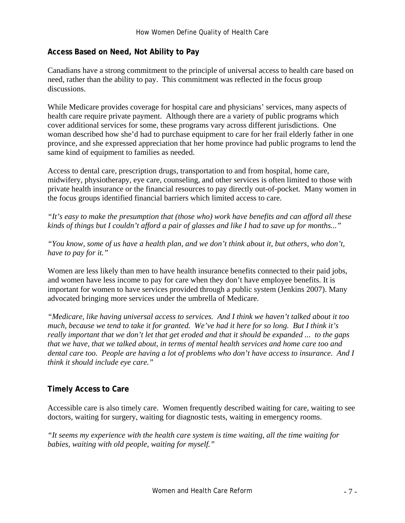#### **Access Based on Need, Not Ability to Pay**

Canadians have a strong commitment to the principle of universal access to health care based on need, rather than the ability to pay. This commitment was reflected in the focus group discussions.

While Medicare provides coverage for hospital care and physicians' services, many aspects of health care require private payment. Although there are a variety of public programs which cover additional services for some, these programs vary across different jurisdictions. One woman described how she'd had to purchase equipment to care for her frail elderly father in one province, and she expressed appreciation that her home province had public programs to lend the same kind of equipment to families as needed.

Access to dental care, prescription drugs, transportation to and from hospital, home care, midwifery, physiotherapy, eye care, counseling, and other services is often limited to those with private health insurance or the financial resources to pay directly out-of-pocket. Many women in the focus groups identified financial barriers which limited access to care.

*"It's easy to make the presumption that (those who) work have benefits and can afford all these kinds of things but I couldn't afford a pair of glasses and like I had to save up for months..."* 

*"You know, some of us have a health plan, and we don't think about it, but others, who don't, have to pay for it."* 

Women are less likely than men to have health insurance benefits connected to their paid jobs, and women have less income to pay for care when they don't have employee benefits. It is important for women to have services provided through a public system (Jenkins 2007). Many advocated bringing more services under the umbrella of Medicare.

*"Medicare, like having universal access to services. And I think we haven't talked about it too much, because we tend to take it for granted. We've had it here for so long. But I think it's really important that we don't let that get eroded and that it should be expanded ... to the gaps that we have, that we talked about, in terms of mental health services and home care too and dental care too. People are having a lot of problems who don't have access to insurance. And I think it should include eye care."* 

#### **Timely Access to Care**

Accessible care is also timely care. Women frequently described waiting for care, waiting to see doctors, waiting for surgery, waiting for diagnostic tests, waiting in emergency rooms.

*"It seems my experience with the health care system is time waiting, all the time waiting for babies, waiting with old people, waiting for myself."*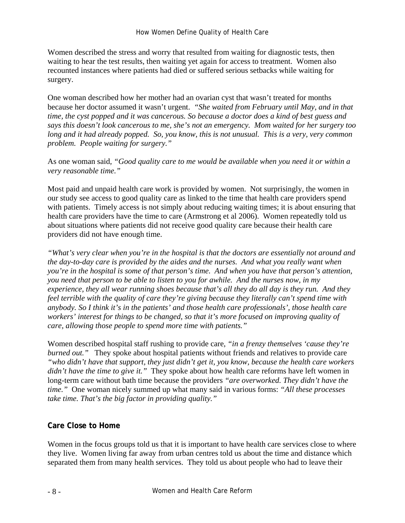Women described the stress and worry that resulted from waiting for diagnostic tests, then waiting to hear the test results, then waiting yet again for access to treatment. Women also recounted instances where patients had died or suffered serious setbacks while waiting for surgery.

One woman described how her mother had an ovarian cyst that wasn't treated for months because her doctor assumed it wasn't urgent. *"She waited from February until May, and in that time, the cyst popped and it was cancerous. So because a doctor does a kind of best guess and says this doesn't look cancerous to me, she's not an emergency. Mom waited for her surgery too long and it had already popped. So, you know, this is not unusual. This is a very, very common problem. People waiting for surgery."* 

As one woman said*, "Good quality care to me would be available when you need it or within a very reasonable time."* 

Most paid and unpaid health care work is provided by women. Not surprisingly, the women in our study see access to good quality care as linked to the time that health care providers spend with patients. Timely access is not simply about reducing waiting times; it is about ensuring that health care providers have the time to care (Armstrong et al 2006). Women repeatedly told us about situations where patients did not receive good quality care because their health care providers did not have enough time.

*"What's very clear when you're in the hospital is that the doctors are essentially not around and the day-to-day care is provided by the aides and the nurses. And what you really want when you're in the hospital is some of that person's time. And when you have that person's attention, you need that person to be able to listen to you for awhile. And the nurses now, in my experience, they all wear running shoes because that's all they do all day is they run. And they feel terrible with the quality of care they're giving because they literally can't spend time with anybody. So I think it's in the patients' and those health care professionals', those health care workers' interest for things to be changed, so that it's more focused on improving quality of care, allowing those people to spend more time with patients."* 

Women described hospital staff rushing to provide care, *"in a frenzy themselves 'cause they're burned out.*" They spoke about hospital patients without friends and relatives to provide care *"who didn't have that support, they just didn't get it, you know, because the health care workers didn't have the time to give it."* They spoke about how health care reforms have left women in long-term care without bath time because the providers *"are overworked. They didn't have the time."* One woman nicely summed up what many said in various forms: *"All these processes take time. That's the big factor in providing quality."*

## **Care Close to Home**

Women in the focus groups told us that it is important to have health care services close to where they live. Women living far away from urban centres told us about the time and distance which separated them from many health services. They told us about people who had to leave their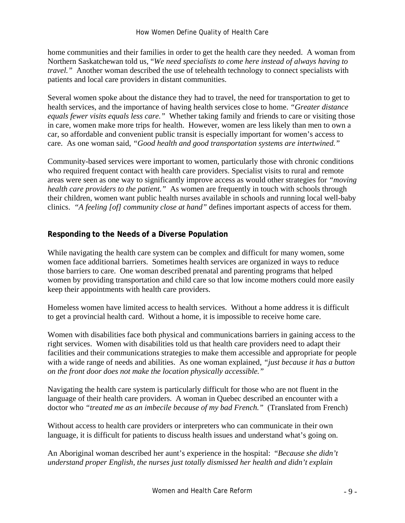home communities and their families in order to get the health care they needed. A woman from Northern Saskatchewan told us, "*We need specialists to come here instead of always having to travel.*" Another woman described the use of telehealth technology to connect specialists with patients and local care providers in distant communities.

Several women spoke about the distance they had to travel, the need for transportation to get to health services, and the importance of having health services close to home. *"Greater distance equals fewer visits equals less care."* Whether taking family and friends to care or visiting those in care, women make more trips for health. However, women are less likely than men to own a car, so affordable and convenient public transit is especially important for women's access to care. As one woman said, *"Good health and good transportation systems are intertwined."* 

Community-based services were important to women, particularly those with chronic conditions who required frequent contact with health care providers. Specialist visits to rural and remote areas were seen as one way to significantly improve access as would other strategies for *"moving health care providers to the patient."* As women are frequently in touch with schools through their children, women want public health nurses available in schools and running local well-baby clinics. *"A feeling [of] community close at hand"* defines important aspects of access for them.

## **Responding to the Needs of a Diverse Population**

While navigating the health care system can be complex and difficult for many women, some women face additional barriers. Sometimes health services are organized in ways to reduce those barriers to care. One woman described prenatal and parenting programs that helped women by providing transportation and child care so that low income mothers could more easily keep their appointments with health care providers.

Homeless women have limited access to health services. Without a home address it is difficult to get a provincial health card. Without a home, it is impossible to receive home care.

Women with disabilities face both physical and communications barriers in gaining access to the right services. Women with disabilities told us that health care providers need to adapt their facilities and their communications strategies to make them accessible and appropriate for people with a wide range of needs and abilities. As one woman explained, *"just because it has a button on the front door does not make the location physically accessible."*

Navigating the health care system is particularly difficult for those who are not fluent in the language of their health care providers. A woman in Quebec described an encounter with a doctor who *"treated me as an imbecile because of my bad French."* (Translated from French)

Without access to health care providers or interpreters who can communicate in their own language, it is difficult for patients to discuss health issues and understand what's going on.

An Aboriginal woman described her aunt's experience in the hospital: "*Because she didn't understand proper English, the nurses just totally dismissed her health and didn't explain*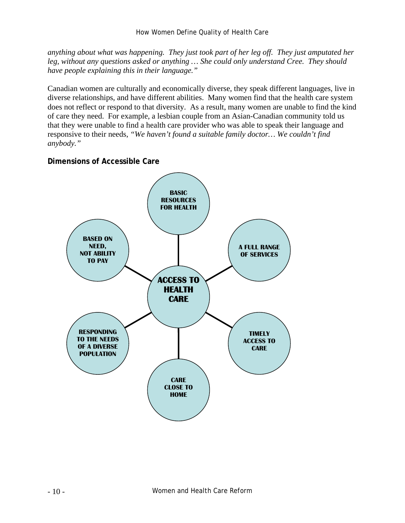*anything about what was happening. They just took part of her leg off. They just amputated her leg, without any questions asked or anything … She could only understand Cree. They should have people explaining this in their language."*

Canadian women are culturally and economically diverse, they speak different languages, live in diverse relationships, and have different abilities. Many women find that the health care system does not reflect or respond to that diversity. As a result, many women are unable to find the kind of care they need. For example, a lesbian couple from an Asian-Canadian community told us that they were unable to find a health care provider who was able to speak their language and responsive to their needs, *"We haven't found a suitable family doctor… We couldn't find anybody."* 

### **Dimensions of Accessible Care**

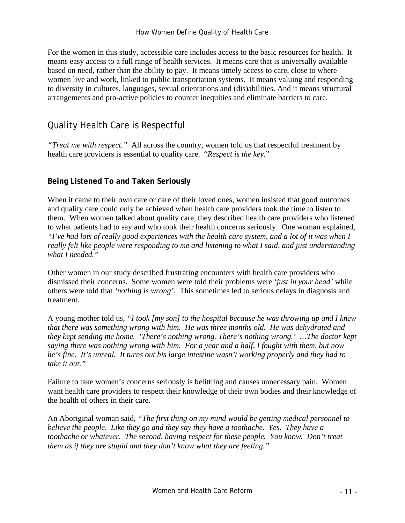For the women in this study, accessible care includes access to the basic resources for health. It means easy access to a full range of health services. It means care that is universally available based on need, rather than the ability to pay. It means timely access to care, close to where women live and work, linked to public transportation systems. It means valuing and responding to diversity in cultures, languages, sexual orientations and (dis)abilities. And it means structural arrangements and pro-active policies to counter inequities and eliminate barriers to care.

# Quality Health Care is Respectful

*"Treat me with respect."* All across the country, women told us that respectful treatment by health care providers is essential to quality care. "*Respect is the key.*"

## **Being Listened To and Taken Seriously**

When it came to their own care or care of their loved ones, women insisted that good outcomes and quality care could only be achieved when health care providers took the time to listen to them. When women talked about quality care, they described health care providers who listened to what patients had to say and who took their health concerns seriously. One woman explained, *"I've had lots of really good experiences with the health care system, and a lot of it was when I really felt like people were responding to me and listening to what I said, and just understanding what I needed."*

Other women in our study described frustrating encounters with health care providers who dismissed their concerns. Some women were told their problems were *'just in your head'* while others were told that *'nothing is wrong'*. This sometimes led to serious delays in diagnosis and treatment.

A young mother told us*, "I took [my son] to the hospital because he was throwing up and I knew that there was something wrong with him. He was three months old. He was dehydrated and they kept sending me home. 'There's nothing wrong. There's nothing wrong.' …The doctor kept saying there was nothing wrong with him. For a year and a half, I fought with them, but now he's fine. It's unreal. It turns out his large intestine wasn't working properly and they had to take it out."* 

Failure to take women's concerns seriously is belittling and causes unnecessary pain. Women want health care providers to respect their knowledge of their own bodies and their knowledge of the health of others in their care.

An Aboriginal woman said*, "The first thing on my mind would be getting medical personnel to believe the people. Like they go and they say they have a toothache. Yes. They have a toothache or whatever. The second, having respect for these people. You know. Don't treat them as if they are stupid and they don't know what they are feeling."*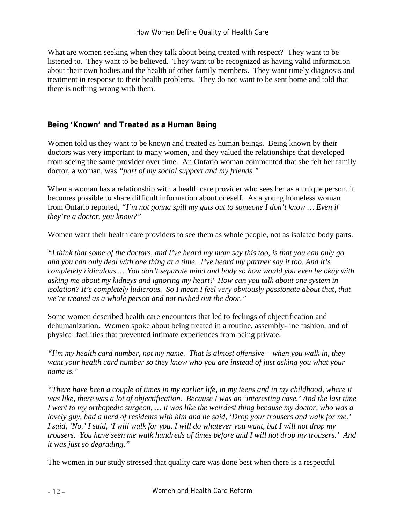#### How Women Define Quality of Health Care

What are women seeking when they talk about being treated with respect? They want to be listened to. They want to be believed. They want to be recognized as having valid information about their own bodies and the health of other family members. They want timely diagnosis and treatment in response to their health problems. They do not want to be sent home and told that there is nothing wrong with them.

### **Being 'Known' and Treated as a Human Being**

Women told us they want to be known and treated as human beings. Being known by their doctors was very important to many women, and they valued the relationships that developed from seeing the same provider over time. An Ontario woman commented that she felt her family doctor, a woman, was *"part of my social support and my friends."* 

When a woman has a relationship with a health care provider who sees her as a unique person, it becomes possible to share difficult information about oneself. As a young homeless woman from Ontario reported, *"I'm not gonna spill my guts out to someone I don't know … Even if they're a doctor, you know?"*

Women want their health care providers to see them as whole people, not as isolated body parts.

*"I think that some of the doctors, and I've heard my mom say this too, is that you can only go and you can only deal with one thing at a time. I've heard my partner say it too. And it's completely ridiculous .…You don't separate mind and body so how would you even be okay with asking me about my kidneys and ignoring my heart? How can you talk about one system in isolation? It's completely ludicrous. So I mean I feel very obviously passionate about that, that we're treated as a whole person and not rushed out the door."* 

Some women described health care encounters that led to feelings of objectification and dehumanization. Women spoke about being treated in a routine, assembly-line fashion, and of physical facilities that prevented intimate experiences from being private.

*"I'm my health card number, not my name. That is almost offensive – when you walk in, they want your health card number so they know who you are instead of just asking you what your name is."*

*"There have been a couple of times in my earlier life, in my teens and in my childhood, where it was like, there was a lot of objectification. Because I was an 'interesting case.' And the last time I went to my orthopedic surgeon, … it was like the weirdest thing because my doctor, who was a lovely guy, had a herd of residents with him and he said, 'Drop your trousers and walk for me.' I said, 'No.' I said, 'I will walk for you. I will do whatever you want, but I will not drop my trousers. You have seen me walk hundreds of times before and I will not drop my trousers.' And it was just so degrading."* 

The women in our study stressed that quality care was done best when there is a respectful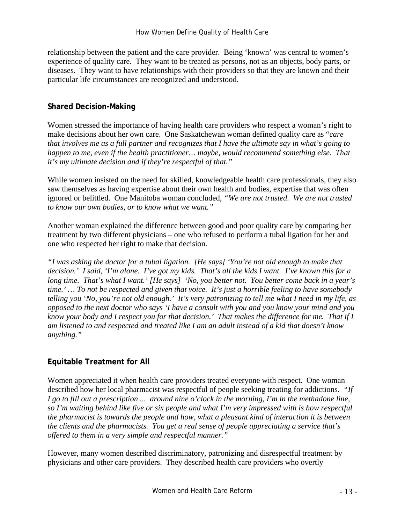relationship between the patient and the care provider. Being 'known' was central to women's experience of quality care. They want to be treated as persons, not as an objects, body parts, or diseases. They want to have relationships with their providers so that they are known and their particular life circumstances are recognized and understood.

#### **Shared Decision-Making**

Women stressed the importance of having health care providers who respect a woman's right to make decisions about her own care. One Saskatchewan woman defined quality care as "*care that involves me as a full partner and recognizes that I have the ultimate say in what's going to happen to me, even if the health practitioner... maybe, would recommend something else. That it's my ultimate decision and if they're respectful of that."* 

While women insisted on the need for skilled, knowledgeable health care professionals, they also saw themselves as having expertise about their own health and bodies, expertise that was often ignored or belittled. One Manitoba woman concluded, *"We are not trusted. We are not trusted to know our own bodies, or to know what we want."*

Another woman explained the difference between good and poor quality care by comparing her treatment by two different physicians – one who refused to perform a tubal ligation for her and one who respected her right to make that decision.

*"I was asking the doctor for a tubal ligation. [He says] 'You're not old enough to make that decision.' I said, 'I'm alone. I've got my kids. That's all the kids I want. I've known this for a long time. That's what I want.' [He says] 'No, you better not. You better come back in a year's time.' … To not be respected and given that voice. It's just a horrible feeling to have somebody telling you 'No, you're not old enough.' It's very patronizing to tell me what I need in my life, as opposed to the next doctor who says 'I have a consult with you and you know your mind and you know your body and I respect you for that decision.' That makes the difference for me. That if I am listened to and respected and treated like I am an adult instead of a kid that doesn't know anything."* 

#### **Equitable Treatment for All**

Women appreciated it when health care providers treated everyone with respect. One woman described how her local pharmacist was respectful of people seeking treating for addictions. *"If I go to fill out a prescription ... around nine o'clock in the morning, I'm in the methadone line, so I'm waiting behind like five or six people and what I'm very impressed with is how respectful the pharmacist is towards the people and how, what a pleasant kind of interaction it is between the clients and the pharmacists. You get a real sense of people appreciating a service that's offered to them in a very simple and respectful manner."* 

However, many women described discriminatory, patronizing and disrespectful treatment by physicians and other care providers. They described health care providers who overtly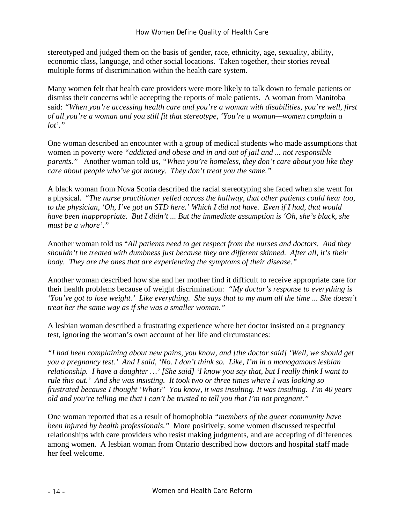stereotyped and judged them on the basis of gender, race, ethnicity, age, sexuality, ability, economic class, language, and other social locations. Taken together, their stories reveal multiple forms of discrimination within the health care system.

Many women felt that health care providers were more likely to talk down to female patients or dismiss their concerns while accepting the reports of male patients. A woman from Manitoba said: *"When you're accessing health care and you're a woman with disabilities, you're well, first of all you're a woman and you still fit that stereotype, 'You're a woman—women complain a lot'."* 

One woman described an encounter with a group of medical students who made assumptions that women in poverty were *"addicted and obese and in and out of jail and ... not responsible parents."* Another woman told us, *"When you're homeless, they don't care about you like they care about people who've got money. They don't treat you the same."* 

A black woman from Nova Scotia described the racial stereotyping she faced when she went for a physical. "*The nurse practitioner yelled across the hallway, that other patients could hear too, to the physician, 'Oh, I've got an STD here.' Which I did not have. Even if I had, that would have been inappropriate. But I didn't ... But the immediate assumption is 'Oh, she's black, she must be a whore'."*

Another woman told us "*All patients need to get respect from the nurses and doctors. And they shouldn't be treated with dumbness just because they are different skinned. After all, it's their body. They are the ones that are experiencing the symptoms of their disease."*

Another woman described how she and her mother find it difficult to receive appropriate care for their health problems because of weight discrimination: *"My doctor's response to everything is 'You've got to lose weight.' Like everything. She says that to my mum all the time ... She doesn't treat her the same way as if she was a smaller woman."*

A lesbian woman described a frustrating experience where her doctor insisted on a pregnancy test, ignoring the woman's own account of her life and circumstances:

*"I had been complaining about new pains, you know, and [the doctor said] 'Well, we should get you a pregnancy test.' And I said, 'No. I don't think so. Like, I'm in a monogamous lesbian relationship. I have a daughter …' [She said] 'I know you say that, but I really think I want to rule this out.' And she was insisting. It took two or three times where I was looking so frustrated because I thought 'What?' You know, it was insulting. It was insulting. I'm 40 years old and you're telling me that I can't be trusted to tell you that I'm not pregnant."* 

One woman reported that as a result of homophobia *"members of the queer community have been injured by health professionals."* More positively, some women discussed respectful relationships with care providers who resist making judgments, and are accepting of differences among women. A lesbian woman from Ontario described how doctors and hospital staff made her feel welcome.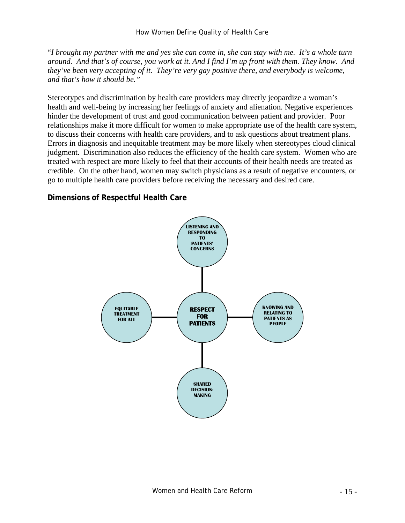"*I brought my partner with me and yes she can come in, she can stay with me. It's a whole turn around. And that's of course, you work at it. And I find I'm up front with them. They know. And they've been very accepting of it. They're very gay positive there, and everybody is welcome, and that's how it should be."* 

Stereotypes and discrimination by health care providers may directly jeopardize a woman's health and well-being by increasing her feelings of anxiety and alienation. Negative experiences hinder the development of trust and good communication between patient and provider. Poor relationships make it more difficult for women to make appropriate use of the health care system, to discuss their concerns with health care providers, and to ask questions about treatment plans. Errors in diagnosis and inequitable treatment may be more likely when stereotypes cloud clinical judgment. Discrimination also reduces the efficiency of the health care system. Women who are treated with respect are more likely to feel that their accounts of their health needs are treated as credible. On the other hand, women may switch physicians as a result of negative encounters, or go to multiple health care providers before receiving the necessary and desired care.

#### **Dimensions of Respectful Health Care**

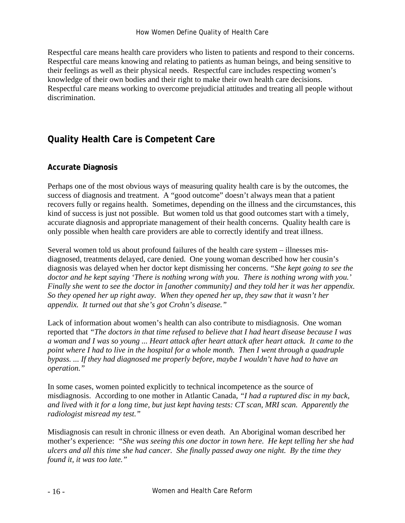#### How Women Define Quality of Health Care

Respectful care means health care providers who listen to patients and respond to their concerns. Respectful care means knowing and relating to patients as human beings, and being sensitive to their feelings as well as their physical needs. Respectful care includes respecting women's knowledge of their own bodies and their right to make their own health care decisions. Respectful care means working to overcome prejudicial attitudes and treating all people without discrimination.

# **Quality Health Care is Competent Care**

### **Accurate Diagnosis**

Perhaps one of the most obvious ways of measuring quality health care is by the outcomes, the success of diagnosis and treatment. A "good outcome" doesn't always mean that a patient recovers fully or regains health. Sometimes, depending on the illness and the circumstances, this kind of success is just not possible. But women told us that good outcomes start with a timely, accurate diagnosis and appropriate management of their health concerns. Quality health care is only possible when health care providers are able to correctly identify and treat illness.

Several women told us about profound failures of the health care system – illnesses misdiagnosed, treatments delayed, care denied. One young woman described how her cousin's diagnosis was delayed when her doctor kept dismissing her concerns. *"She kept going to see the doctor and he kept saying 'There is nothing wrong with you. There is nothing wrong with you.' Finally she went to see the doctor in [another community] and they told her it was her appendix. So they opened her up right away. When they opened her up, they saw that it wasn't her appendix. It turned out that she's got Crohn's disease."* 

Lack of information about women's health can also contribute to misdiagnosis. One woman reported that *"The doctors in that time refused to believe that I had heart disease because I was a woman and I was so young ... Heart attack after heart attack after heart attack. It came to the point where I had to live in the hospital for a whole month. Then I went through a quadruple bypass. ... If they had diagnosed me properly before, maybe I wouldn't have had to have an operation."* 

In some cases, women pointed explicitly to technical incompetence as the source of misdiagnosis. According to one mother in Atlantic Canada, *"I had a ruptured disc in my back, and lived with it for a long time, but just kept having tests: CT scan, MRI scan. Apparently the radiologist misread my test."*

Misdiagnosis can result in chronic illness or even death. An Aboriginal woman described her mother's experience: *"She was seeing this one doctor in town here. He kept telling her she had ulcers and all this time she had cancer. She finally passed away one night. By the time they found it, it was too late."*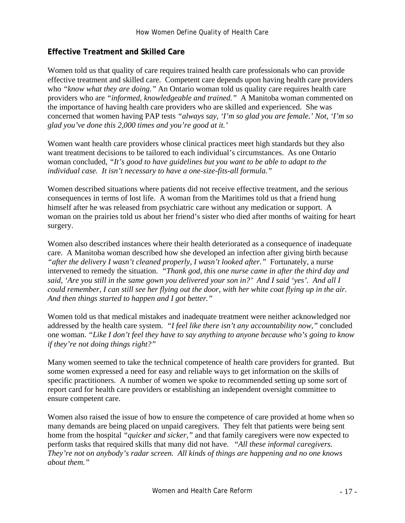### **Effective Treatment and Skilled Care**

Women told us that quality of care requires trained health care professionals who can provide effective treatment and skilled care. Competent care depends upon having health care providers who *"know what they are doing."* An Ontario woman told us quality care requires health care providers who are *"informed, knowledgeable and trained."* A Manitoba woman commented on the importance of having health care providers who are skilled and experienced. She was concerned that women having PAP tests *"always say, 'I'm so glad you are female.' Not, 'I'm so glad you've done this 2,000 times and you're good at it.'*

Women want health care providers whose clinical practices meet high standards but they also want treatment decisions to be tailored to each individual's circumstances. As one Ontario woman concluded, *"It's good to have guidelines but you want to be able to adapt to the individual case. It isn't necessary to have a one-size-fits-all formula."* 

Women described situations where patients did not receive effective treatment, and the serious consequences in terms of lost life. A woman from the Maritimes told us that a friend hung himself after he was released from psychiatric care without any medication or support. A woman on the prairies told us about her friend's sister who died after months of waiting for heart surgery.

Women also described instances where their health deteriorated as a consequence of inadequate care. A Manitoba woman described how she developed an infection after giving birth because *"after the delivery I wasn't cleaned properly, I wasn't looked after."* Fortunately, a nurse intervened to remedy the situation. *"Thank god, this one nurse came in after the third day and said, 'Are you still in the same gown you delivered your son in?' And I said 'yes'. And all I could remember, I can still see her flying out the door, with her white coat flying up in the air. And then things started to happen and I got better."*

Women told us that medical mistakes and inadequate treatment were neither acknowledged nor addressed by the health care system. *"I feel like there isn't any accountability now,"* concluded one woman. *"Like I don't feel they have to say anything to anyone because who's going to know if they're not doing things right?"*

Many women seemed to take the technical competence of health care providers for granted. But some women expressed a need for easy and reliable ways to get information on the skills of specific practitioners. A number of women we spoke to recommended setting up some sort of report card for health care providers or establishing an independent oversight committee to ensure competent care.

Women also raised the issue of how to ensure the competence of care provided at home when so many demands are being placed on unpaid caregivers. They felt that patients were being sent home from the hospital *"quicker and sicker,"* and that family caregivers were now expected to perform tasks that required skills that many did not have. "*All these informal caregivers. They're not on anybody's radar screen. All kinds of things are happening and no one knows about them."*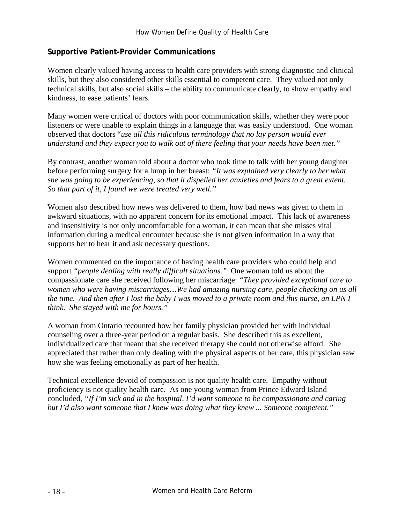#### **Supportive Patient-Provider Communications**

Women clearly valued having access to health care providers with strong diagnostic and clinical skills, but they also considered other skills essential to competent care. They valued not only technical skills, but also social skills – the ability to communicate clearly, to show empathy and kindness, to ease patients' fears.

Many women were critical of doctors with poor communication skills, whether they were poor listeners or were unable to explain things in a language that was easily understood. One woman observed that doctors "*use all this ridiculous terminology that no lay person would ever understand and they expect you to walk out of there feeling that your needs have been met."* 

By contrast, another woman told about a doctor who took time to talk with her young daughter before performing surgery for a lump in her breast: *"It was explained very clearly to her what she was going to be experiencing, so that it dispelled her anxieties and fears to a great extent. So that part of it, I found we were treated very well."*

Women also described how news was delivered to them, how bad news was given to them in awkward situations, with no apparent concern for its emotional impact. This lack of awareness and insensitivity is not only uncomfortable for a woman, it can mean that she misses vital information during a medical encounter because she is not given information in a way that supports her to hear it and ask necessary questions.

Women commented on the importance of having health care providers who could help and support *"people dealing with really difficult situations."* One woman told us about the compassionate care she received following her miscarriage: *"They provided exceptional care to women who were having miscarriages…We had amazing nursing care, people checking on us all the time. And then after I lost the baby I was moved to a private room and this nurse, an LPN I think. She stayed with me for hours."* 

A woman from Ontario recounted how her family physician provided her with individual counseling over a three-year period on a regular basis. She described this as excellent, individualized care that meant that she received therapy she could not otherwise afford. She appreciated that rather than only dealing with the physical aspects of her care, this physician saw how she was feeling emotionally as part of her health.

Technical excellence devoid of compassion is not quality health care. Empathy without proficiency is not quality health care. As one young woman from Prince Edward Island concluded, *"If I'm sick and in the hospital, I'd want someone to be compassionate and caring but I'd also want someone that I knew was doing what they knew ... Someone competent."*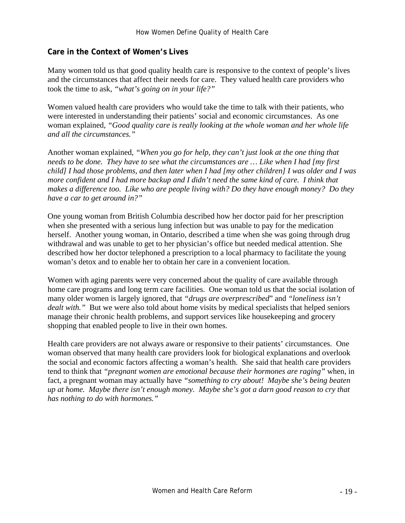#### **Care in the Context of Women's Lives**

Many women told us that good quality health care is responsive to the context of people's lives and the circumstances that affect their needs for care. They valued health care providers who took the time to ask, *"what's going on in your life?"*

Women valued health care providers who would take the time to talk with their patients, who were interested in understanding their patients' social and economic circumstances. As one woman explained, *"Good quality care is really looking at the whole woman and her whole life and all the circumstances."*

Another woman explained*, "When you go for help, they can't just look at the one thing that needs to be done. They have to see what the circumstances are … Like when I had [my first child] I had those problems, and then later when I had [my other children] I was older and I was more confident and I had more backup and I didn't need the same kind of care. I think that makes a difference too. Like who are people living with? Do they have enough money? Do they have a car to get around in?"* 

One young woman from British Columbia described how her doctor paid for her prescription when she presented with a serious lung infection but was unable to pay for the medication herself. Another young woman, in Ontario, described a time when she was going through drug withdrawal and was unable to get to her physician's office but needed medical attention. She described how her doctor telephoned a prescription to a local pharmacy to facilitate the young woman's detox and to enable her to obtain her care in a convenient location.

Women with aging parents were very concerned about the quality of care available through home care programs and long term care facilities. One woman told us that the social isolation of many older women is largely ignored, that *"drugs are overprescribed*" and *"loneliness isn't dealt with."* But we were also told about home visits by medical specialists that helped seniors manage their chronic health problems, and support services like housekeeping and grocery shopping that enabled people to live in their own homes.

Health care providers are not always aware or responsive to their patients' circumstances. One woman observed that many health care providers look for biological explanations and overlook the social and economic factors affecting a woman's health. She said that health care providers tend to think that *"pregnant women are emotional because their hormones are raging"* when, in fact, a pregnant woman may actually have *"something to cry about! Maybe she's being beaten up at home. Maybe there isn't enough money. Maybe she's got a darn good reason to cry that has nothing to do with hormones."*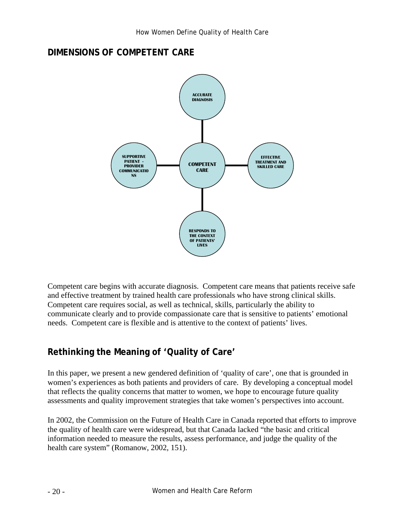# **DIMENSIONS OF COMPETENT CARE**



Competent care begins with accurate diagnosis. Competent care means that patients receive safe and effective treatment by trained health care professionals who have strong clinical skills. Competent care requires social, as well as technical, skills, particularly the ability to communicate clearly and to provide compassionate care that is sensitive to patients' emotional needs. Competent care is flexible and is attentive to the context of patients' lives.

# **Rethinking the Meaning of 'Quality of Care'**

In this paper, we present a new gendered definition of 'quality of care', one that is grounded in women's experiences as both patients and providers of care. By developing a conceptual model that reflects the quality concerns that matter to women, we hope to encourage future quality assessments and quality improvement strategies that take women's perspectives into account.

In 2002, the Commission on the Future of Health Care in Canada reported that efforts to improve the quality of health care were widespread, but that Canada lacked "the basic and critical information needed to measure the results, assess performance, and judge the quality of the health care system" (Romanow, 2002, 151).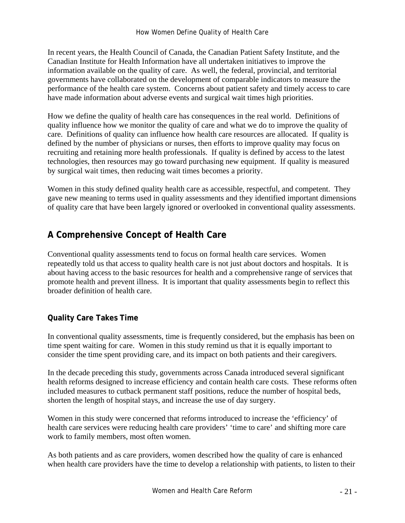In recent years, the Health Council of Canada, the Canadian Patient Safety Institute, and the Canadian Institute for Health Information have all undertaken initiatives to improve the information available on the quality of care. As well, the federal, provincial, and territorial governments have collaborated on the development of comparable indicators to measure the performance of the health care system. Concerns about patient safety and timely access to care have made information about adverse events and surgical wait times high priorities.

How we define the quality of health care has consequences in the real world. Definitions of quality influence how we monitor the quality of care and what we do to improve the quality of care. Definitions of quality can influence how health care resources are allocated. If quality is defined by the number of physicians or nurses, then efforts to improve quality may focus on recruiting and retaining more health professionals. If quality is defined by access to the latest technologies, then resources may go toward purchasing new equipment. If quality is measured by surgical wait times, then reducing wait times becomes a priority.

Women in this study defined quality health care as accessible, respectful, and competent. They gave new meaning to terms used in quality assessments and they identified important dimensions of quality care that have been largely ignored or overlooked in conventional quality assessments.

# **A Comprehensive Concept of Health Care**

Conventional quality assessments tend to focus on formal health care services. Women repeatedly told us that access to quality health care is not just about doctors and hospitals. It is about having access to the basic resources for health and a comprehensive range of services that promote health and prevent illness. It is important that quality assessments begin to reflect this broader definition of health care.

# **Quality Care Takes Time**

In conventional quality assessments, time is frequently considered, but the emphasis has been on time spent waiting for care. Women in this study remind us that it is equally important to consider the time spent providing care, and its impact on both patients and their caregivers.

In the decade preceding this study, governments across Canada introduced several significant health reforms designed to increase efficiency and contain health care costs. These reforms often included measures to cutback permanent staff positions, reduce the number of hospital beds, shorten the length of hospital stays, and increase the use of day surgery.

Women in this study were concerned that reforms introduced to increase the 'efficiency' of health care services were reducing health care providers' 'time to care' and shifting more care work to family members, most often women.

As both patients and as care providers, women described how the quality of care is enhanced when health care providers have the time to develop a relationship with patients, to listen to their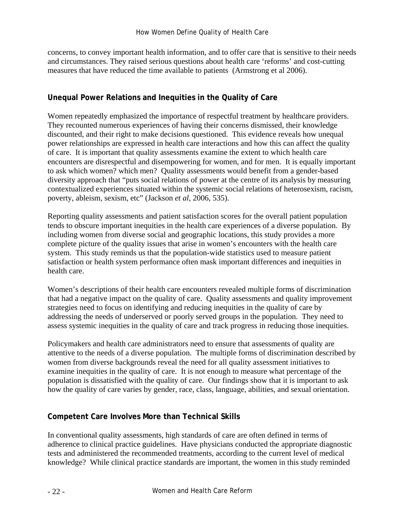concerns, to convey important health information, and to offer care that is sensitive to their needs and circumstances. They raised serious questions about health care 'reforms' and cost-cutting measures that have reduced the time available to patients (Armstrong et al 2006).

### **Unequal Power Relations and Inequities in the Quality of Care**

Women repeatedly emphasized the importance of respectful treatment by healthcare providers. They recounted numerous experiences of having their concerns dismissed, their knowledge discounted, and their right to make decisions questioned. This evidence reveals how unequal power relationships are expressed in health care interactions and how this can affect the quality of care. It is important that quality assessments examine the extent to which health care encounters are disrespectful and disempowering for women, and for men. It is equally important to ask which women? which men? Quality assessments would benefit from a gender-based diversity approach that "puts social relations of power at the centre of its analysis by measuring contextualized experiences situated within the systemic social relations of heterosexism, racism, poverty, ableism, sexism, etc" (Jackson *et al*, 2006, 535).

Reporting quality assessments and patient satisfaction scores for the overall patient population tends to obscure important inequities in the health care experiences of a diverse population. By including women from diverse social and geographic locations, this study provides a more complete picture of the quality issues that arise in women's encounters with the health care system. This study reminds us that the population-wide statistics used to measure patient satisfaction or health system performance often mask important differences and inequities in health care.

Women's descriptions of their health care encounters revealed multiple forms of discrimination that had a negative impact on the quality of care. Quality assessments and quality improvement strategies need to focus on identifying and reducing inequities in the quality of care by addressing the needs of underserved or poorly served groups in the population. They need to assess systemic inequities in the quality of care and track progress in reducing those inequities.

Policymakers and health care administrators need to ensure that assessments of quality are attentive to the needs of a diverse population. The multiple forms of discrimination described by women from diverse backgrounds reveal the need for all quality assessment initiatives to examine inequities in the quality of care. It is not enough to measure what percentage of the population is dissatisfied with the quality of care. Our findings show that it is important to ask how the quality of care varies by gender, race, class, language, abilities, and sexual orientation.

## **Competent Care Involves More than Technical Skills**

In conventional quality assessments, high standards of care are often defined in terms of adherence to clinical practice guidelines. Have physicians conducted the appropriate diagnostic tests and administered the recommended treatments, according to the current level of medical knowledge? While clinical practice standards are important, the women in this study reminded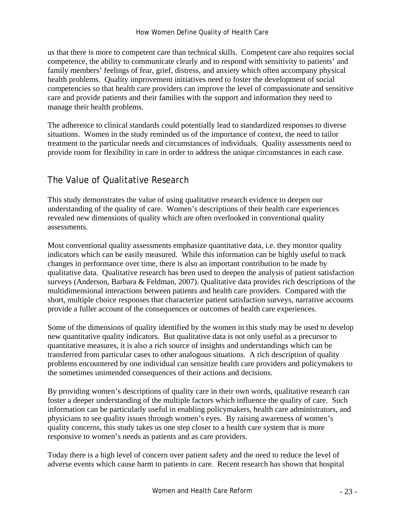us that there is more to competent care than technical skills. Competent care also requires social competence, the ability to communicate clearly and to respond with sensitivity to patients' and family members' feelings of fear, grief, distress, and anxiety which often accompany physical health problems. Quality improvement initiatives need to foster the development of social competencies so that health care providers can improve the level of compassionate and sensitive care and provide patients and their families with the support and information they need to manage their health problems.

The adherence to clinical standards could potentially lead to standardized responses to diverse situations. Women in the study reminded us of the importance of context, the need to tailor treatment to the particular needs and circumstances of individuals. Quality assessments need to provide room for flexibility in care in order to address the unique circumstances in each case.

# The Value of Qualitative Research

This study demonstrates the value of using qualitative research evidence to deepen our understanding of the quality of care. Women's descriptions of their health care experiences revealed new dimensions of quality which are often overlooked in conventional quality assessments.

Most conventional quality assessments emphasize quantitative data, i.e. they monitor quality indicators which can be easily measured. While this information can be highly useful to track changes in performance over time, there is also an important contribution to be made by qualitative data. Qualitative research has been used to deepen the analysis of patient satisfaction surveys (Anderson, Barbara & Feldman, 2007). Qualitative data provides rich descriptions of the multidimensional interactions between patients and health care providers. Compared with the short, multiple choice responses that characterize patient satisfaction surveys, narrative accounts provide a fuller account of the consequences or outcomes of health care experiences.

Some of the dimensions of quality identified by the women in this study may be used to develop new quantitative quality indicators. But qualitative data is not only useful as a precursor to quantitative measures, it is also a rich source of insights and understandings which can be transferred from particular cases to other analogous situations. A rich description of quality problems encountered by one individual can sensitize health care providers and policymakers to the sometimes unintended consequences of their actions and decisions.

By providing women's descriptions of quality care in their own words, qualitative research can foster a deeper understanding of the multiple factors which influence the quality of care. Such information can be particularly useful in enabling policymakers, health care administrators, and physicians to see quality issues through women's eyes. By raising awareness of women's quality concerns, this study takes us one step closer to a health care system that is more responsive to women's needs as patients and as care providers.

Today there is a high level of concern over patient safety and the need to reduce the level of adverse events which cause harm to patients in care. Recent research has shown that hospital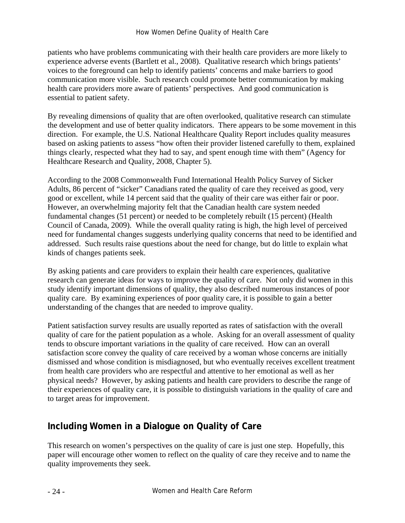patients who have problems communicating with their health care providers are more likely to experience adverse events (Bartlett et al., 2008). Qualitative research which brings patients' voices to the foreground can help to identify patients' concerns and make barriers to good communication more visible. Such research could promote better communication by making health care providers more aware of patients' perspectives. And good communication is essential to patient safety.

By revealing dimensions of quality that are often overlooked, qualitative research can stimulate the development and use of better quality indicators. There appears to be some movement in this direction. For example, the U.S. National Healthcare Quality Report includes quality measures based on asking patients to assess "how often their provider listened carefully to them, explained things clearly, respected what they had to say, and spent enough time with them" (Agency for Healthcare Research and Quality, 2008, Chapter 5).

According to the 2008 Commonwealth Fund International Health Policy Survey of Sicker Adults, 86 percent of "sicker" Canadians rated the quality of care they received as good, very good or excellent, while 14 percent said that the quality of their care was either fair or poor. However, an overwhelming majority felt that the Canadian health care system needed fundamental changes (51 percent) or needed to be completely rebuilt (15 percent) (Health Council of Canada, 2009). While the overall quality rating is high, the high level of perceived need for fundamental changes suggests underlying quality concerns that need to be identified and addressed. Such results raise questions about the need for change, but do little to explain what kinds of changes patients seek.

By asking patients and care providers to explain their health care experiences, qualitative research can generate ideas for ways to improve the quality of care. Not only did women in this study identify important dimensions of quality, they also described numerous instances of poor quality care. By examining experiences of poor quality care, it is possible to gain a better understanding of the changes that are needed to improve quality.

Patient satisfaction survey results are usually reported as rates of satisfaction with the overall quality of care for the patient population as a whole. Asking for an overall assessment of quality tends to obscure important variations in the quality of care received. How can an overall satisfaction score convey the quality of care received by a woman whose concerns are initially dismissed and whose condition is misdiagnosed, but who eventually receives excellent treatment from health care providers who are respectful and attentive to her emotional as well as her physical needs? However, by asking patients and health care providers to describe the range of their experiences of quality care, it is possible to distinguish variations in the quality of care and to target areas for improvement.

# **Including Women in a Dialogue on Quality of Care**

This research on women's perspectives on the quality of care is just one step. Hopefully, this paper will encourage other women to reflect on the quality of care they receive and to name the quality improvements they seek.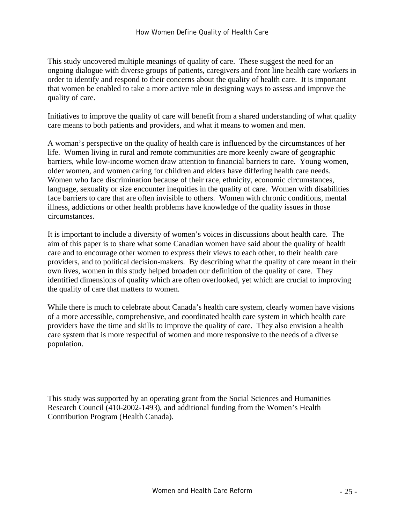This study uncovered multiple meanings of quality of care. These suggest the need for an ongoing dialogue with diverse groups of patients, caregivers and front line health care workers in order to identify and respond to their concerns about the quality of health care. It is important that women be enabled to take a more active role in designing ways to assess and improve the quality of care.

Initiatives to improve the quality of care will benefit from a shared understanding of what quality care means to both patients and providers, and what it means to women and men.

A woman's perspective on the quality of health care is influenced by the circumstances of her life. Women living in rural and remote communities are more keenly aware of geographic barriers, while low-income women draw attention to financial barriers to care. Young women, older women, and women caring for children and elders have differing health care needs. Women who face discrimination because of their race, ethnicity, economic circumstances, language, sexuality or size encounter inequities in the quality of care. Women with disabilities face barriers to care that are often invisible to others. Women with chronic conditions, mental illness, addictions or other health problems have knowledge of the quality issues in those circumstances.

It is important to include a diversity of women's voices in discussions about health care. The aim of this paper is to share what some Canadian women have said about the quality of health care and to encourage other women to express their views to each other, to their health care providers, and to political decision-makers. By describing what the quality of care meant in their own lives, women in this study helped broaden our definition of the quality of care. They identified dimensions of quality which are often overlooked, yet which are crucial to improving the quality of care that matters to women.

While there is much to celebrate about Canada's health care system, clearly women have visions of a more accessible, comprehensive, and coordinated health care system in which health care providers have the time and skills to improve the quality of care. They also envision a health care system that is more respectful of women and more responsive to the needs of a diverse population.

This study was supported by an operating grant from the Social Sciences and Humanities Research Council (410-2002-1493), and additional funding from the Women's Health Contribution Program (Health Canada).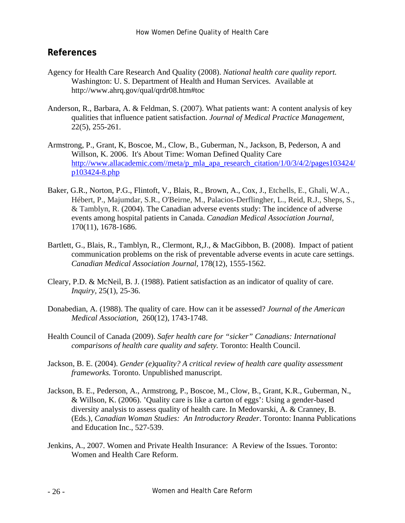# **References**

- Agency for Health Care Research And Quality (2008). *National health care quality report.*  Washington: U. S. Department of Health and Human Services. Available at http://www.ahrq.gov/qual/qrdr08.htm#toc
- Anderson, R., Barbara, A. & Feldman, S. (2007). What patients want: A content analysis of key qualities that influence patient satisfaction. *Journal of Medical Practice Management*, 22(5), 255-261.
- Armstrong, P., Grant, K, Boscoe, M., Clow, B., Guberman, N., Jackson, B, Pederson, A and Willson, K. 2006. It's About Time: Woman Defined Quality Care http://www.allacademic.com//meta/p\_mla\_apa\_research\_citation/1/0/3/4/2/pages103424/ p103424-8.php
- Baker, G.R., Norton, P.G., Flintoft, V., Blais, R., Brown, A., Cox, J., Etchells, E., Ghali, W.A., Hébert, P., Majumdar, S.R., O'Beirne, M., Palacios-Derflingher, L., Reid, R.J., Sheps, S., & Tamblyn, R. (2004). The Canadian adverse events study: The incidence of adverse events among hospital patients in Canada. *Canadian Medical Association Journal,* 170(11), 1678-1686.
- Bartlett, G., Blais, R., Tamblyn, R., Clermont, R,J., & MacGibbon, B. (2008). Impact of patient communication problems on the risk of preventable adverse events in acute care settings. *Canadian Medical Association Journal,* 178(12), 1555-1562.
- Cleary, P.D. & McNeil, B. J. (1988). Patient satisfaction as an indicator of quality of care. *Inquiry,* 25(1), 25-36.
- Donabedian, A. (1988). The quality of care. How can it be assessed? *Journal of the American Medical Association,* 260(12), 1743-1748.
- Health Council of Canada (2009). *Safer health care for "sicker" Canadians: International comparisons of health care quality and safety.* Toronto: Health Council.
- Jackson, B. E. (2004). *Gender (e)quality? A critical review of health care quality assessment frameworks.* Toronto. Unpublished manuscript.
- Jackson, B. E., Pederson, A., Armstrong, P., Boscoe, M., Clow, B., Grant, K.R., Guberman, N., & Willson, K. (2006). 'Quality care is like a carton of eggs': Using a gender-based diversity analysis to assess quality of health care. In Medovarski, A. & Cranney, B. (Eds.), *Canadian Woman Studies: An Introductory Reader*. Toronto: Inanna Publications and Education Inc., 527-539.
- Jenkins, A., 2007. Women and Private Health Insurance: A Review of the Issues. Toronto: Women and Health Care Reform.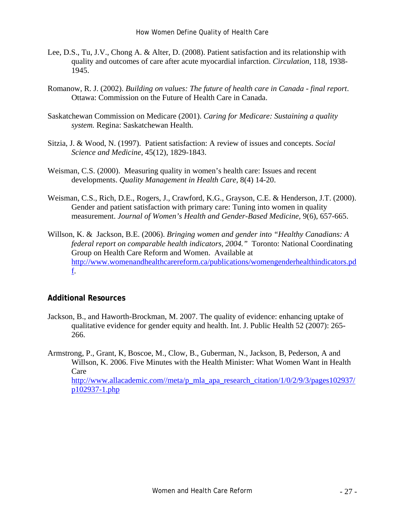- Lee, D.S., Tu, J.V., Chong A. & Alter, D. (2008). Patient satisfaction and its relationship with quality and outcomes of care after acute myocardial infarction. *Circulation,* 118, 1938- 1945.
- Romanow, R. J. (2002). *Building on values: The future of health care in Canada final report*. Ottawa: Commission on the Future of Health Care in Canada.
- Saskatchewan Commission on Medicare (2001). *Caring for Medicare: Sustaining a quality system.* Regina: Saskatchewan Health.
- Sitzia, J. & Wood, N. (1997). Patient satisfaction: A review of issues and concepts. *Social Science and Medicine,* 45(12), 1829-1843.
- Weisman, C.S. (2000). Measuring quality in women's health care: Issues and recent developments. *Quality Management in Health Care,* 8(4) 14-20.
- Weisman, C.S., Rich, D.E., Rogers, J., Crawford, K.G., Grayson, C.E. & Henderson, J.T. (2000). Gender and patient satisfaction with primary care: Tuning into women in quality measurement. *Journal of Women's Health and Gender-Based Medicine,* 9(6), 657-665.
- Willson, K. & Jackson, B.E. (2006). *Bringing women and gender into "Healthy Canadians: A federal report on comparable health indicators, 2004."* Toronto: National Coordinating Group on Health Care Reform and Women. Available at http://www.womenandhealthcarereform.ca/publications/womengenderhealthindicators.pd f.

#### **Additional Resources**

- Jackson, B., and Haworth-Brockman, M. 2007. The quality of evidence: enhancing uptake of qualitative evidence for gender equity and health. Int. J. Public Health 52 (2007): 265- 266.
- Armstrong, P., Grant, K, Boscoe, M., Clow, B., Guberman, N., Jackson, B, Pederson, A and Willson, K. 2006. Five Minutes with the Health Minister: What Women Want in Health Care

http://www.allacademic.com//meta/p\_mla\_apa\_research\_citation/1/0/2/9/3/pages102937/ p102937-1.php